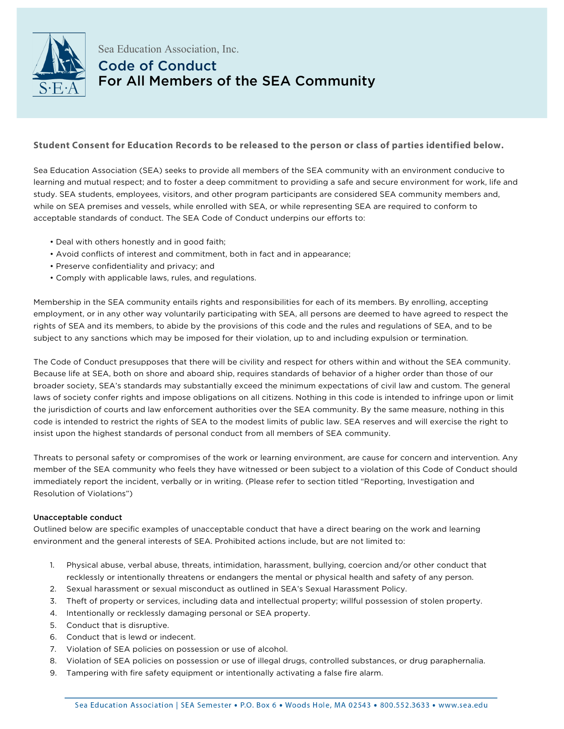

## Sea Education Association, Inc. Code of Conduct For All Members of the SEA Community

## **Student Consent for Education Records to be released to the person or class of parties identified below.**

Sea Education Association (SEA) seeks to provide all members of the SEA community with an environment conducive to learning and mutual respect; and to foster a deep commitment to providing a safe and secure environment for work, life and study. SEA students, employees, visitors, and other program participants are considered SEA community members and, while on SEA premises and vessels, while enrolled with SEA, or while representing SEA are required to conform to acceptable standards of conduct. The SEA Code of Conduct underpins our efforts to:

- Deal with others honestly and in good faith;
- Avoid conflicts of interest and commitment, both in fact and in appearance;
- Preserve confidentiality and privacy; and
- Comply with applicable laws, rules, and regulations.

Membership in the SEA community entails rights and responsibilities for each of its members. By enrolling, accepting employment, or in any other way voluntarily participating with SEA, all persons are deemed to have agreed to respect the rights of SEA and its members, to abide by the provisions of this code and the rules and regulations of SEA, and to be subject to any sanctions which may be imposed for their violation, up to and including expulsion or termination.

The Code of Conduct presupposes that there will be civility and respect for others within and without the SEA community. Because life at SEA, both on shore and aboard ship, requires standards of behavior of a higher order than those of our broader society, SEA's standards may substantially exceed the minimum expectations of civil law and custom. The general laws of society confer rights and impose obligations on all citizens. Nothing in this code is intended to infringe upon or limit the jurisdiction of courts and law enforcement authorities over the SEA community. By the same measure, nothing in this code is intended to restrict the rights of SEA to the modest limits of public law. SEA reserves and will exercise the right to insist upon the highest standards of personal conduct from all members of SEA community.

Threats to personal safety or compromises of the work or learning environment, are cause for concern and intervention. Any member of the SEA community who feels they have witnessed or been subject to a violation of this Code of Conduct should immediately report the incident, verbally or in writing. (Please refer to section titled "Reporting, Investigation and Resolution of Violations")

## Unacceptable conduct

Outlined below are specific examples of unacceptable conduct that have a direct bearing on the work and learning environment and the general interests of SEA. Prohibited actions include, but are not limited to:

- 1. Physical abuse, verbal abuse, threats, intimidation, harassment, bullying, coercion and/or other conduct that recklessly or intentionally threatens or endangers the mental or physical health and safety of any person.
- 2. Sexual harassment or sexual misconduct as outlined in SEA's Sexual Harassment Policy.
- 3. Theft of property or services, including data and intellectual property; willful possession of stolen property.
- 4. Intentionally or recklessly damaging personal or SEA property.
- 5. Conduct that is disruptive.
- 6. Conduct that is lewd or indecent.
- 7. Violation of SEA policies on possession or use of alcohol.
- 8. Violation of SEA policies on possession or use of illegal drugs, controlled substances, or drug paraphernalia.
- 9. Tampering with fire safety equipment or intentionally activating a false fire alarm.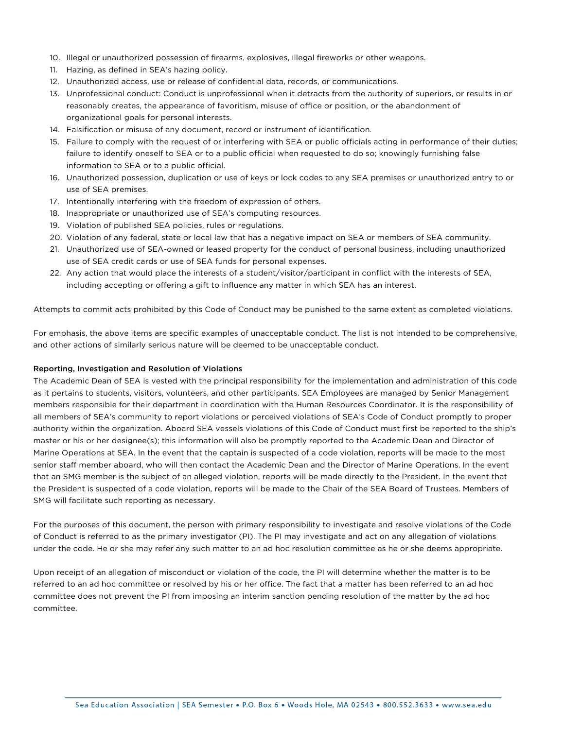- 10. Illegal or unauthorized possession of firearms, explosives, illegal fireworks or other weapons.
- 11. Hazing, as defined in SEA's hazing policy.
- 12. Unauthorized access, use or release of confidential data, records, or communications.
- 13. Unprofessional conduct: Conduct is unprofessional when it detracts from the authority of superiors, or results in or reasonably creates, the appearance of favoritism, misuse of office or position, or the abandonment of organizational goals for personal interests.
- 14. Falsification or misuse of any document, record or instrument of identification.
- 15. Failure to comply with the request of or interfering with SEA or public officials acting in performance of their duties; failure to identify oneself to SEA or to a public official when requested to do so; knowingly furnishing false information to SEA or to a public official.
- 16. Unauthorized possession, duplication or use of keys or lock codes to any SEA premises or unauthorized entry to or use of SEA premises.
- 17. Intentionally interfering with the freedom of expression of others.
- 18. Inappropriate or unauthorized use of SEA's computing resources.
- 19. Violation of published SEA policies, rules or regulations.
- 20. Violation of any federal, state or local law that has a negative impact on SEA or members of SEA community.
- 21. Unauthorized use of SEA-owned or leased property for the conduct of personal business, including unauthorized use of SEA credit cards or use of SEA funds for personal expenses.
- 22. Any action that would place the interests of a student/visitor/participant in conflict with the interests of SEA, including accepting or offering a gift to influence any matter in which SEA has an interest.

Attempts to commit acts prohibited by this Code of Conduct may be punished to the same extent as completed violations.

For emphasis, the above items are specific examples of unacceptable conduct. The list is not intended to be comprehensive, and other actions of similarly serious nature will be deemed to be unacceptable conduct.

## Reporting, Investigation and Resolution of Violations

The Academic Dean of SEA is vested with the principal responsibility for the implementation and administration of this code as it pertains to students, visitors, volunteers, and other participants. SEA Employees are managed by Senior Management members responsible for their department in coordination with the Human Resources Coordinator. It is the responsibility of all members of SEA's community to report violations or perceived violations of SEA's Code of Conduct promptly to proper authority within the organization. Aboard SEA vessels violations of this Code of Conduct must first be reported to the ship's master or his or her designee(s); this information will also be promptly reported to the Academic Dean and Director of Marine Operations at SEA. In the event that the captain is suspected of a code violation, reports will be made to the most senior staff member aboard, who will then contact the Academic Dean and the Director of Marine Operations. In the event that an SMG member is the subject of an alleged violation, reports will be made directly to the President. In the event that the President is suspected of a code violation, reports will be made to the Chair of the SEA Board of Trustees. Members of SMG will facilitate such reporting as necessary.

For the purposes of this document, the person with primary responsibility to investigate and resolve violations of the Code of Conduct is referred to as the primary investigator (PI). The PI may investigate and act on any allegation of violations under the code. He or she may refer any such matter to an ad hoc resolution committee as he or she deems appropriate.

Upon receipt of an allegation of misconduct or violation of the code, the PI will determine whether the matter is to be referred to an ad hoc committee or resolved by his or her office. The fact that a matter has been referred to an ad hoc committee does not prevent the PI from imposing an interim sanction pending resolution of the matter by the ad hoc committee.